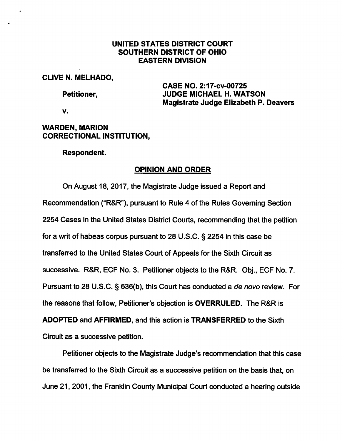## UNITED STATES DISTRICT COURT SOUTHERN DISTRICT OF OHIO EASTERN DIVISION

#### CLIVE N. MELHADO,

CASE NO. 2:17-cv-00725 Petitioner, JUDGE MICHAEL H. WATSON Magistrate Judge Elizabeth P. Deavers

V.

# WARDEN, MARION CORRECTIONAL INSTITUTION,

### Respondent.

# OPINION AND ORDER

On August 18, 2017, the Magistrate Judge issued a Report and Recommendation ("R&R"), pursuant to Rule 4 of the Rules Governing Section 2254 Cases in the United States District Courts, recommending that the petition for a writ of habeas corpus pursuant to 28 U.S.C. § 2254 in this case be transferred to the United States Court of Appeals for the Sixth Circuit as successive. R&R, ECF No. 3. Petitioner objects to the R&R. Obj., ECF No. 7. Pursuant to 28 U.S.C. § 636(b), this Court has conducted a de novo review. For the reasons that follow. Petitioner's objection is OVERRULED. The R&R is ADOPTED and AFFIRMED, and this action is TRANSFERRED to the Sixth Circuit as a successive petition.

Petitioner objects to the Magistrate Judge's recommendation that this case be transferred to the Sixth Circuit as a successive petition on the basis that, on June 21, 2001, the Franklin County Municipal Court conducted a hearing outside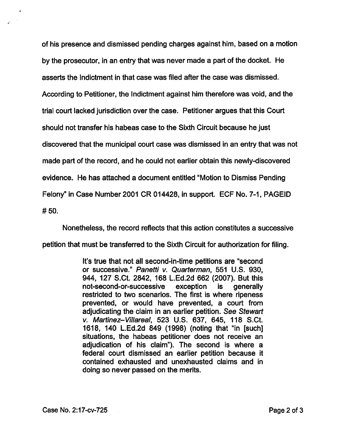of his presence and dismissed pending charges against him, based on a motion by the prosecutor, in an entry that was never made a part of the docket. He asserts the Indictment in that case was filed after the case was dismissed. According to Petitioner, the Indictment against him therefore was void, and the trial court lacked jurisdiction over the case. Petitioner argues that this Court should not transfer his habeas case to the Sixth Circuit because he just discovered that the municipal court case was dismissed in an entry that was not made part of the record, and he could not earlier obtain this newly-discovered evidence. He has attached a document entitled "Motion to Dismiss Pending Felony" in Case Number 2001 CR 014428, in support. ECF No. 7-1, PAGEID #50.

Nonetheless, the record reflects that this action constitutes a successive petition that must be transferred to the Sixth Circuit for authorization for filing.

> It's true that not all second-in-time petitions are "second or successive." Panetti v. Quarterman, 551 U.S. 930, 944, 127 S.Ct. 2842, 168 L.Ed.2d 662 (2007). But this not-second-or-successive exception is generally restricted to two scenarios. The first is where ripeness prevented, or would have prevented, a court from adjudicating the claim in an earlier petition. See Stewart V. Martinez-Villareal, 523 U.S. 637, 645, 118 S.Ct. 1618, 140 L.Ed.2d 849 (1998) (noting that "in [such] situations, the habeas petitioner does not receive an adjudication of his claim"). The second is where a federal court dismissed an earlier petition because it contained exhausted and unexhausted claims and in doing so never passed on the merits.